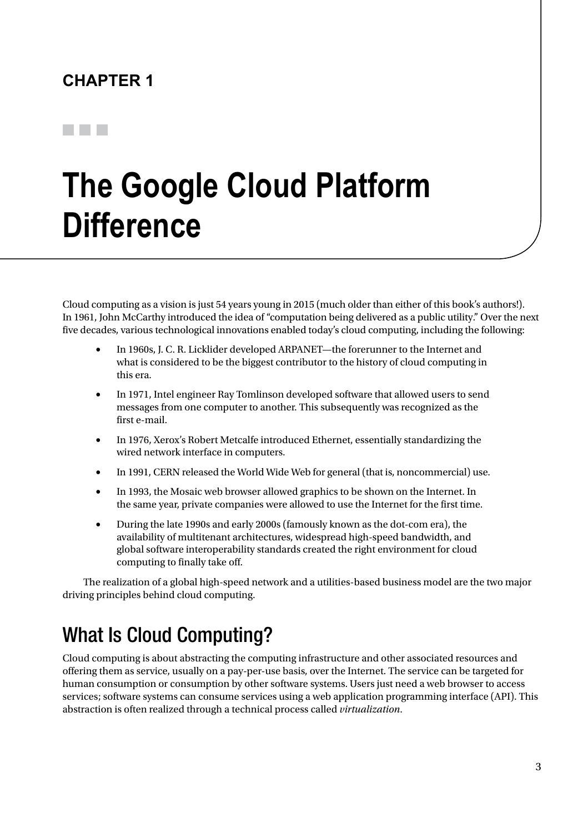#### **Chapter 1**

# **The Google Cloud Platform Difference**

Cloud computing as a vision is just 54 years young in 2015 (much older than either of this book's authors!). In 1961, John McCarthy introduced the idea of "computation being delivered as a public utility." Over the next five decades, various technological innovations enabled today's cloud computing, including the following:

- In 1960s, J. C. R. Licklider developed ARPANET—the forerunner to the Internet and what is considered to be the biggest contributor to the history of cloud computing in this era.
- In 1971, Intel engineer Ray Tomlinson developed software that allowed users to send messages from one computer to another. This subsequently was recognized as the first e-mail.
- In 1976, Xerox's Robert Metcalfe introduced Ethernet, essentially standardizing the wired network interface in computers.
- In 1991, CERN released the World Wide Web for general (that is, noncommercial) use.
- In 1993, the Mosaic web browser allowed graphics to be shown on the Internet. In the same year, private companies were allowed to use the Internet for the first time.
- During the late 1990s and early 2000s (famously known as the dot-com era), the availability of multitenant architectures, widespread high-speed bandwidth, and global software interoperability standards created the right environment for cloud computing to finally take off.

The realization of a global high-speed network and a utilities-based business model are the two major driving principles behind cloud computing.

### What Is Cloud Computing?

Cloud computing is about abstracting the computing infrastructure and other associated resources and offering them as service, usually on a pay-per-use basis, over the Internet. The service can be targeted for human consumption or consumption by other software systems. Users just need a web browser to access services; software systems can consume services using a web application programming interface (API). This abstraction is often realized through a technical process called *virtualization*.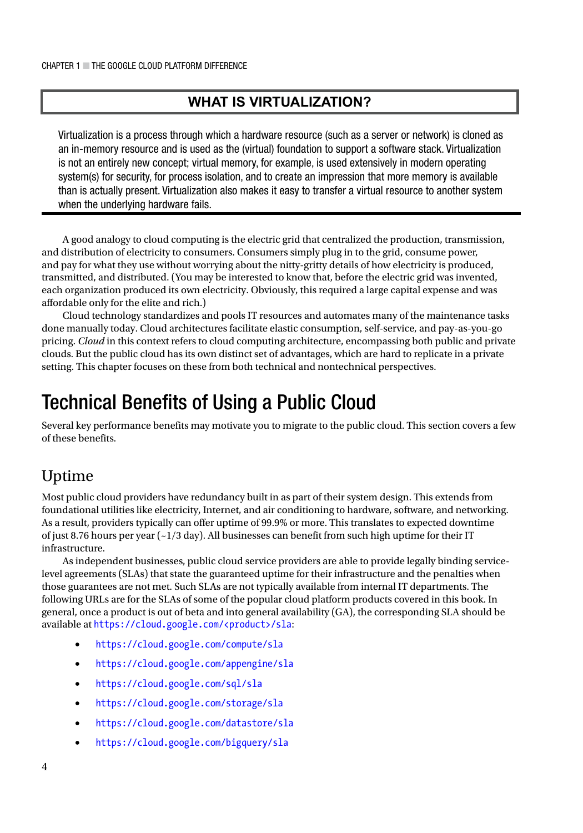#### **WHAT IS VIRTUALIZATION?**

Virtualization is a process through which a hardware resource (such as a server or network) is cloned as an in-memory resource and is used as the (virtual) foundation to support a software stack. Virtualization is not an entirely new concept; virtual memory, for example, is used extensively in modern operating system(s) for security, for process isolation, and to create an impression that more memory is available than is actually present. Virtualization also makes it easy to transfer a virtual resource to another system when the underlying hardware fails.

A good analogy to cloud computing is the electric grid that centralized the production, transmission, and distribution of electricity to consumers. Consumers simply plug in to the grid, consume power, and pay for what they use without worrying about the nitty-gritty details of how electricity is produced, transmitted, and distributed. (You may be interested to know that, before the electric grid was invented, each organization produced its own electricity. Obviously, this required a large capital expense and was affordable only for the elite and rich.)

Cloud technology standardizes and pools IT resources and automates many of the maintenance tasks done manually today. Cloud architectures facilitate elastic consumption, self-service, and pay-as-you-go pricing. *Cloud* in this context refers to cloud computing architecture, encompassing both public and private clouds. But the public cloud has its own distinct set of advantages, which are hard to replicate in a private setting. This chapter focuses on these from both technical and nontechnical perspectives.

### Technical Benefits of Using a Public Cloud

Several key performance benefits may motivate you to migrate to the public cloud. This section covers a few of these benefits.

#### Uptime

Most public cloud providers have redundancy built in as part of their system design. This extends from foundational utilities like electricity, Internet, and air conditioning to hardware, software, and networking. As a result, providers typically can offer uptime of 99.9% or more. This translates to expected downtime of just 8.76 hours per year  $\left(\frac{1}{3} \text{ day}\right)$ . All businesses can benefit from such high uptime for their IT infrastructure.

As independent businesses, public cloud service providers are able to provide legally binding servicelevel agreements (SLAs) that state the guaranteed uptime for their infrastructure and the penalties when those guarantees are not met. Such SLAs are not typically available from internal IT departments. The following URLs are for the SLAs of some of the popular cloud platform products covered in this book. In general, once a product is out of beta and into general availability (GA), the corresponding SLA should be available at [https://cloud.google.com/<product>/sla](https://cloud.google.com/%3Cproduct%3E/sla):

- <https://cloud.google.com/compute/sla>
- • <https://cloud.google.com/appengine/sla>
- • <https://cloud.google.com/sql/sla>
- <https://cloud.google.com/storage/sla>
- <https://cloud.google.com/datastore/sla>
- <https://cloud.google.com/bigquery/sla>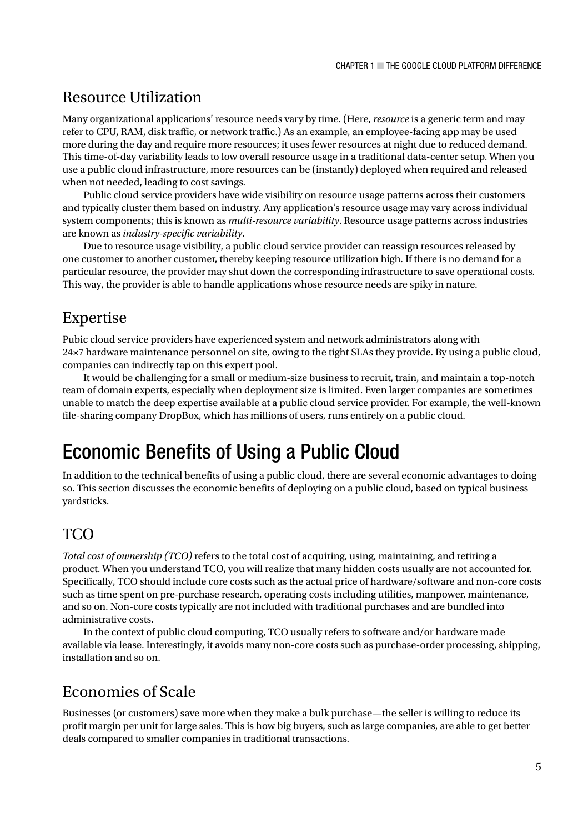#### Resource Utilization

Many organizational applications' resource needs vary by time. (Here, *resource* is a generic term and may refer to CPU, RAM, disk traffic, or network traffic.) As an example, an employee-facing app may be used more during the day and require more resources; it uses fewer resources at night due to reduced demand. This time-of-day variability leads to low overall resource usage in a traditional data-center setup. When you use a public cloud infrastructure, more resources can be (instantly) deployed when required and released when not needed, leading to cost savings.

Public cloud service providers have wide visibility on resource usage patterns across their customers and typically cluster them based on industry. Any application's resource usage may vary across individual system components; this is known as *multi-resource variability*. Resource usage patterns across industries are known as *industry-specific variability*.

Due to resource usage visibility, a public cloud service provider can reassign resources released by one customer to another customer, thereby keeping resource utilization high. If there is no demand for a particular resource, the provider may shut down the corresponding infrastructure to save operational costs. This way, the provider is able to handle applications whose resource needs are spiky in nature.

#### Expertise

Pubic cloud service providers have experienced system and network administrators along with 24×7 hardware maintenance personnel on site, owing to the tight SLAs they provide. By using a public cloud, companies can indirectly tap on this expert pool.

It would be challenging for a small or medium-size business to recruit, train, and maintain a top-notch team of domain experts, especially when deployment size is limited. Even larger companies are sometimes unable to match the deep expertise available at a public cloud service provider. For example, the well-known file-sharing company DropBox, which has millions of users, runs entirely on a public cloud.

### Economic Benefits of Using a Public Cloud

In addition to the technical benefits of using a public cloud, there are several economic advantages to doing so. This section discusses the economic benefits of deploying on a public cloud, based on typical business yardsticks.

### **TCO**

*Total cost of ownership (TCO)* refers to the total cost of acquiring, using, maintaining, and retiring a product. When you understand TCO, you will realize that many hidden costs usually are not accounted for. Specifically, TCO should include core costs such as the actual price of hardware/software and non-core costs such as time spent on pre-purchase research, operating costs including utilities, manpower, maintenance, and so on. Non-core costs typically are not included with traditional purchases and are bundled into administrative costs.

In the context of public cloud computing, TCO usually refers to software and/or hardware made available via lease. Interestingly, it avoids many non-core costs such as purchase-order processing, shipping, installation and so on.

#### Economies of Scale

Businesses (or customers) save more when they make a bulk purchase—the seller is willing to reduce its profit margin per unit for large sales. This is how big buyers, such as large companies, are able to get better deals compared to smaller companies in traditional transactions.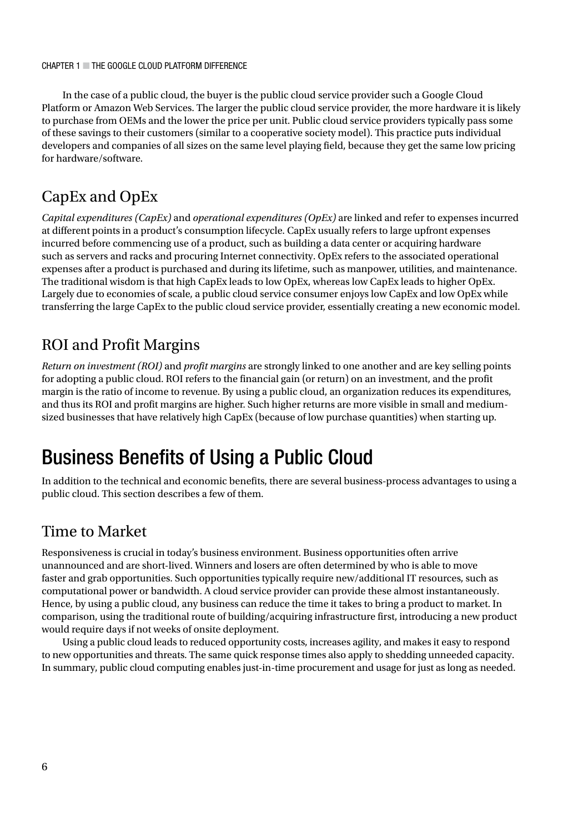In the case of a public cloud, the buyer is the public cloud service provider such a Google Cloud Platform or Amazon Web Services. The larger the public cloud service provider, the more hardware it is likely to purchase from OEMs and the lower the price per unit. Public cloud service providers typically pass some of these savings to their customers (similar to a cooperative society model). This practice puts individual developers and companies of all sizes on the same level playing field, because they get the same low pricing for hardware/software.

#### CapEx and OpEx

*Capital expenditures (CapEx)* and *operational expenditures (OpEx)* are linked and refer to expenses incurred at different points in a product's consumption lifecycle. CapEx usually refers to large upfront expenses incurred before commencing use of a product, such as building a data center or acquiring hardware such as servers and racks and procuring Internet connectivity. OpEx refers to the associated operational expenses after a product is purchased and during its lifetime, such as manpower, utilities, and maintenance. The traditional wisdom is that high CapEx leads to low OpEx, whereas low CapEx leads to higher OpEx. Largely due to economies of scale, a public cloud service consumer enjoys low CapEx and low OpEx while transferring the large CapEx to the public cloud service provider, essentially creating a new economic model.

#### ROI and Profit Margins

*Return on investment (ROI)* and *profit margins* are strongly linked to one another and are key selling points for adopting a public cloud. ROI refers to the financial gain (or return) on an investment, and the profit margin is the ratio of income to revenue. By using a public cloud, an organization reduces its expenditures, and thus its ROI and profit margins are higher. Such higher returns are more visible in small and mediumsized businesses that have relatively high CapEx (because of low purchase quantities) when starting up.

### Business Benefits of Using a Public Cloud

In addition to the technical and economic benefits, there are several business-process advantages to using a public cloud. This section describes a few of them.

#### Time to Market

Responsiveness is crucial in today's business environment. Business opportunities often arrive unannounced and are short-lived. Winners and losers are often determined by who is able to move faster and grab opportunities. Such opportunities typically require new/additional IT resources, such as computational power or bandwidth. A cloud service provider can provide these almost instantaneously. Hence, by using a public cloud, any business can reduce the time it takes to bring a product to market. In comparison, using the traditional route of building/acquiring infrastructure first, introducing a new product would require days if not weeks of onsite deployment.

Using a public cloud leads to reduced opportunity costs, increases agility, and makes it easy to respond to new opportunities and threats. The same quick response times also apply to shedding unneeded capacity. In summary, public cloud computing enables just-in-time procurement and usage for just as long as needed.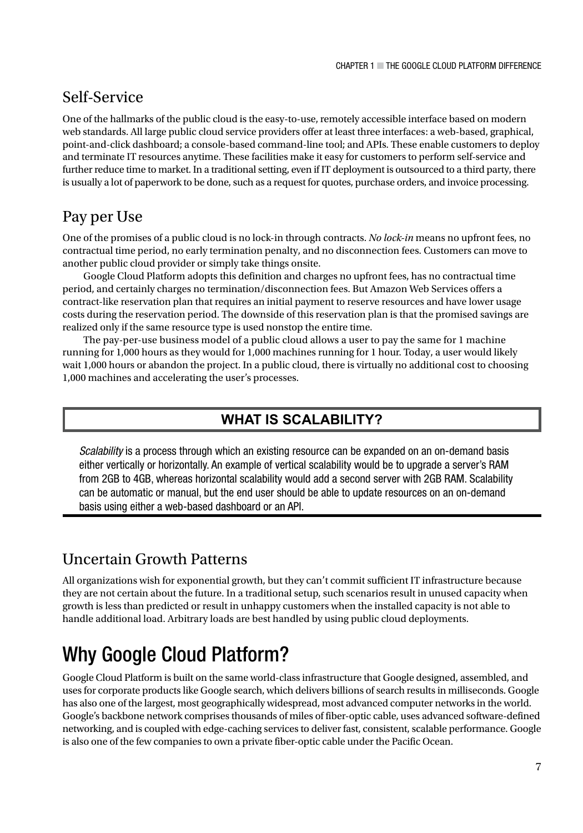#### Self-Service

One of the hallmarks of the public cloud is the easy-to-use, remotely accessible interface based on modern web standards. All large public cloud service providers offer at least three interfaces: a web-based, graphical, point-and-click dashboard; a console-based command-line tool; and APIs. These enable customers to deploy and terminate IT resources anytime. These facilities make it easy for customers to perform self-service and further reduce time to market. In a traditional setting, even if IT deployment is outsourced to a third party, there is usually a lot of paperwork to be done, such as a request for quotes, purchase orders, and invoice processing.

#### Pay per Use

One of the promises of a public cloud is no lock-in through contracts. *No lock-in* means no upfront fees, no contractual time period, no early termination penalty, and no disconnection fees. Customers can move to another public cloud provider or simply take things onsite.

Google Cloud Platform adopts this definition and charges no upfront fees, has no contractual time period, and certainly charges no termination/disconnection fees. But Amazon Web Services offers a contract-like reservation plan that requires an initial payment to reserve resources and have lower usage costs during the reservation period. The downside of this reservation plan is that the promised savings are realized only if the same resource type is used nonstop the entire time.

The pay-per-use business model of a public cloud allows a user to pay the same for 1 machine running for 1,000 hours as they would for 1,000 machines running for 1 hour. Today, a user would likely wait 1,000 hours or abandon the project. In a public cloud, there is virtually no additional cost to choosing 1,000 machines and accelerating the user's processes.

#### **WHAT IS SCALABILITY?**

*Scalability* is a process through which an existing resource can be expanded on an on-demand basis either vertically or horizontally. An example of vertical scalability would be to upgrade a server's RAM from 2GB to 4GB, whereas horizontal scalability would add a second server with 2GB RAM. Scalability can be automatic or manual, but the end user should be able to update resources on an on-demand basis using either a web-based dashboard or an API.

### Uncertain Growth Patterns

All organizations wish for exponential growth, but they can't commit sufficient IT infrastructure because they are not certain about the future. In a traditional setup, such scenarios result in unused capacity when growth is less than predicted or result in unhappy customers when the installed capacity is not able to handle additional load. Arbitrary loads are best handled by using public cloud deployments.

## Why Google Cloud Platform?

Google Cloud Platform is built on the same world-class infrastructure that Google designed, assembled, and uses for corporate products like Google search, which delivers billions of search results in milliseconds. Google has also one of the largest, most geographically widespread, most advanced computer networks in the world. Google's backbone network comprises thousands of miles of fiber-optic cable, uses advanced software-defined networking, and is coupled with edge-caching services to deliver fast, consistent, scalable performance. Google is also one of the few companies to own a private fiber-optic cable under the Pacific Ocean.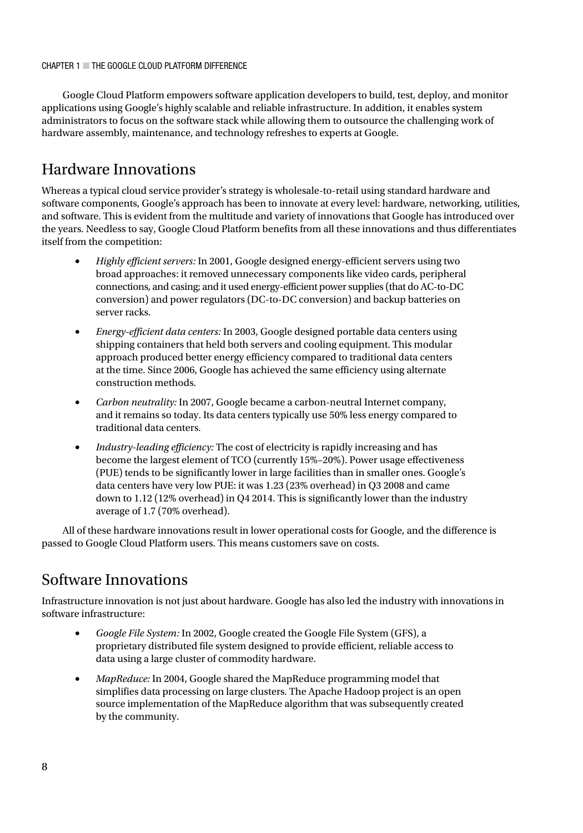Google Cloud Platform empowers software application developers to build, test, deploy, and monitor applications using Google's highly scalable and reliable infrastructure. In addition, it enables system administrators to focus on the software stack while allowing them to outsource the challenging work of hardware assembly, maintenance, and technology refreshes to experts at Google.

#### Hardware Innovations

Whereas a typical cloud service provider's strategy is wholesale-to-retail using standard hardware and software components, Google's approach has been to innovate at every level: hardware, networking, utilities, and software. This is evident from the multitude and variety of innovations that Google has introduced over the years. Needless to say, Google Cloud Platform benefits from all these innovations and thus differentiates itself from the competition:

- *Highly efficient servers:* In 2001, Google designed energy-efficient servers using two broad approaches: it removed unnecessary components like video cards, peripheral connections, and casing; and it used energy-efficient power supplies (that do AC-to-DC conversion) and power regulators (DC-to-DC conversion) and backup batteries on server racks.
- • *Energy-efficient data centers:* In 2003, Google designed portable data centers using shipping containers that held both servers and cooling equipment. This modular approach produced better energy efficiency compared to traditional data centers at the time. Since 2006, Google has achieved the same efficiency using alternate construction methods.
- *Carbon neutrality:* In 2007, Google became a carbon-neutral Internet company, and it remains so today. Its data centers typically use 50% less energy compared to traditional data centers.
- Industry-leading efficiency: The cost of electricity is rapidly increasing and has become the largest element of TCO (currently 15%–20%). Power usage effectiveness (PUE) tends to be significantly lower in large facilities than in smaller ones. Google's data centers have very low PUE: it was 1.23 (23% overhead) in Q3 2008 and came down to 1.12 (12% overhead) in Q4 2014. This is significantly lower than the industry average of 1.7 (70% overhead).

All of these hardware innovations result in lower operational costs for Google, and the difference is passed to Google Cloud Platform users. This means customers save on costs.

#### Software Innovations

Infrastructure innovation is not just about hardware. Google has also led the industry with innovations in software infrastructure:

- Google File System: In 2002, Google created the Google File System (GFS), a proprietary distributed file system designed to provide efficient, reliable access to data using a large cluster of commodity hardware.
- MapReduce: In 2004, Google shared the MapReduce programming model that simplifies data processing on large clusters. The Apache Hadoop project is an open source implementation of the MapReduce algorithm that was subsequently created by the community.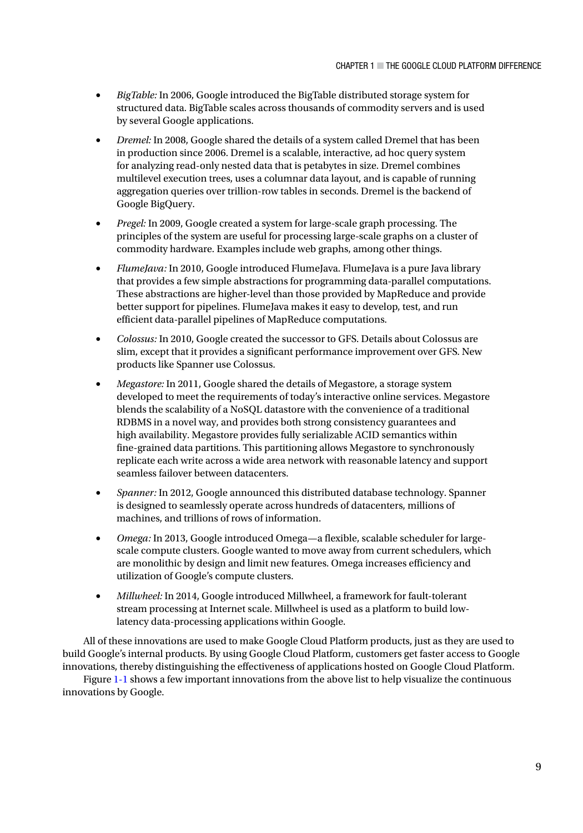- • *BigTable:* In 2006, Google introduced the BigTable distributed storage system for structured data. BigTable scales across thousands of commodity servers and is used by several Google applications.
- • *Dremel:* In 2008, Google shared the details of a system called Dremel that has been in production since 2006. Dremel is a scalable, interactive, ad hoc query system for analyzing read-only nested data that is petabytes in size. Dremel combines multilevel execution trees, uses a columnar data layout, and is capable of running aggregation queries over trillion-row tables in seconds. Dremel is the backend of Google BigQuery.
- • *Pregel:* In 2009, Google created a system for large-scale graph processing. The principles of the system are useful for processing large-scale graphs on a cluster of commodity hardware. Examples include web graphs, among other things.
- FlumeJava: In 2010, Google introduced FlumeJava. FlumeJava is a pure Java library that provides a few simple abstractions for programming data-parallel computations. These abstractions are higher-level than those provided by MapReduce and provide better support for pipelines. FlumeJava makes it easy to develop, test, and run efficient data-parallel pipelines of MapReduce computations.
- • *Colossus:* In 2010, Google created the successor to GFS. Details about Colossus are slim, except that it provides a significant performance improvement over GFS. New products like Spanner use Colossus.
- *Megastore:* In 2011, Google shared the details of Megastore, a storage system developed to meet the requirements of today's interactive online services. Megastore blends the scalability of a NoSQL datastore with the convenience of a traditional RDBMS in a novel way, and provides both strong consistency guarantees and high availability. Megastore provides fully serializable ACID semantics within fine-grained data partitions. This partitioning allows Megastore to synchronously replicate each write across a wide area network with reasonable latency and support seamless failover between datacenters.
- • *Spanner:* In 2012, Google announced this distributed database technology. Spanner is designed to seamlessly operate across hundreds of datacenters, millions of machines, and trillions of rows of information.
- • *Omega:* In 2013, Google introduced Omega—a flexible, scalable scheduler for largescale compute clusters. Google wanted to move away from current schedulers, which are monolithic by design and limit new features. Omega increases efficiency and utilization of Google's compute clusters.
- • *Millwheel:* In 2014, Google introduced Millwheel, a framework for fault-tolerant stream processing at Internet scale. Millwheel is used as a platform to build lowlatency data-processing applications within Google.

All of these innovations are used to make Google Cloud Platform products, just as they are used to build Google's internal products. By using Google Cloud Platform, customers get faster access to Google innovations, thereby distinguishing the effectiveness of applications hosted on Google Cloud Platform.

Figure [1-1](#page-7-0) shows a few important innovations from the above list to help visualize the continuous innovations by Google.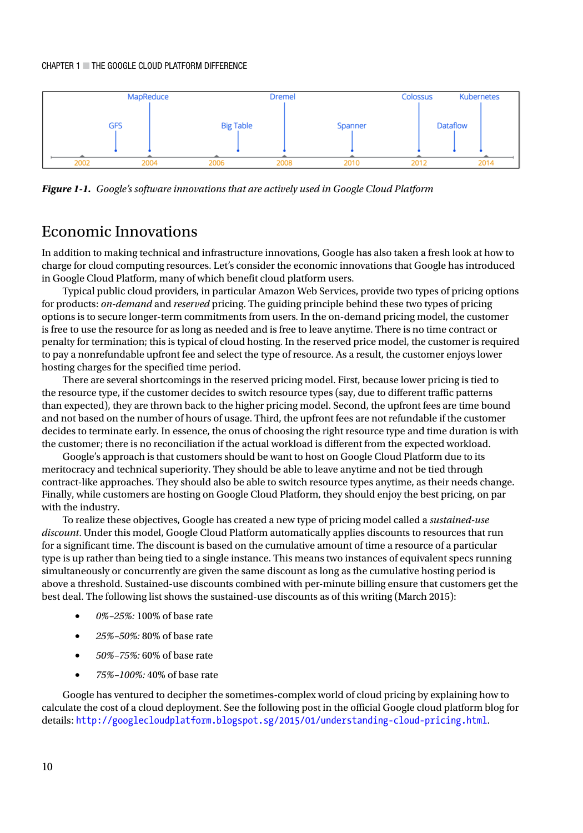#### Chapter 1 ■ The Google Cloud Platform Difference

<span id="page-7-0"></span>

*Figure 1-1. Google's software innovations that are actively used in Google Cloud Platform*

#### Economic Innovations

In addition to making technical and infrastructure innovations, Google has also taken a fresh look at how to charge for cloud computing resources. Let's consider the economic innovations that Google has introduced in Google Cloud Platform, many of which benefit cloud platform users.

Typical public cloud providers, in particular Amazon Web Services, provide two types of pricing options for products: *on-demand* and *reserved* pricing. The guiding principle behind these two types of pricing options is to secure longer-term commitments from users. In the on-demand pricing model, the customer is free to use the resource for as long as needed and is free to leave anytime. There is no time contract or penalty for termination; this is typical of cloud hosting. In the reserved price model, the customer is required to pay a nonrefundable upfront fee and select the type of resource. As a result, the customer enjoys lower hosting charges for the specified time period.

There are several shortcomings in the reserved pricing model. First, because lower pricing is tied to the resource type, if the customer decides to switch resource types (say, due to different traffic patterns than expected), they are thrown back to the higher pricing model. Second, the upfront fees are time bound and not based on the number of hours of usage. Third, the upfront fees are not refundable if the customer decides to terminate early. In essence, the onus of choosing the right resource type and time duration is with the customer; there is no reconciliation if the actual workload is different from the expected workload.

Google's approach is that customers should be want to host on Google Cloud Platform due to its meritocracy and technical superiority. They should be able to leave anytime and not be tied through contract-like approaches. They should also be able to switch resource types anytime, as their needs change. Finally, while customers are hosting on Google Cloud Platform, they should enjoy the best pricing, on par with the industry.

To realize these objectives, Google has created a new type of pricing model called a *sustained-use discount*. Under this model, Google Cloud Platform automatically applies discounts to resources that run for a significant time. The discount is based on the cumulative amount of time a resource of a particular type is up rather than being tied to a single instance. This means two instances of equivalent specs running simultaneously or concurrently are given the same discount as long as the cumulative hosting period is above a threshold. Sustained-use discounts combined with per-minute billing ensure that customers get the best deal. The following list shows the sustained-use discounts as of this writing (March 2015):

- 0%–25%: 100% of base rate
- • *25%–50%:* 80% of base rate
- 50%-75%: 60% of base rate
- • *75%–100%:* 40% of base rate

Google has ventured to decipher the sometimes-complex world of cloud pricing by explaining how to calculate the cost of a cloud deployment. See the following post in the official Google cloud platform blog for details: <http://googlecloudplatform.blogspot.sg/2015/01/understanding-cloud-pricing.html>.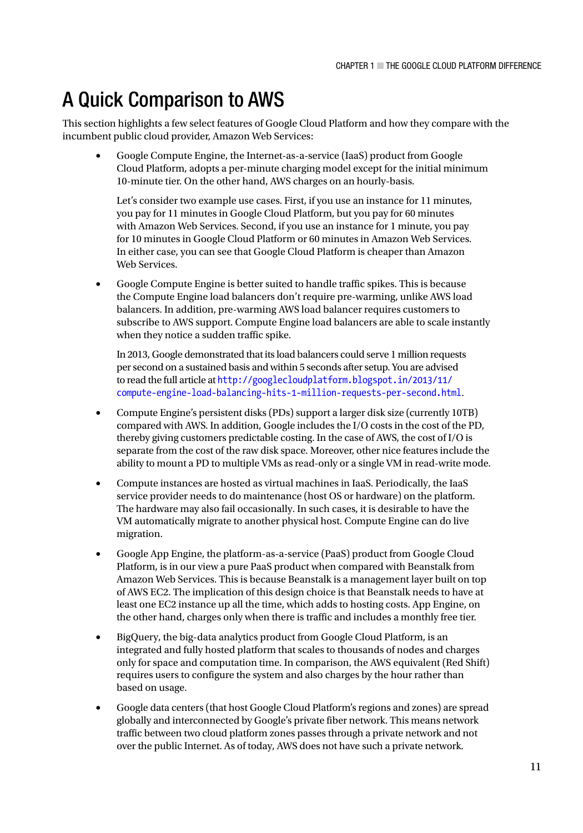## A Quick Comparison to AWS

This section highlights a few select features of Google Cloud Platform and how they compare with the incumbent public cloud provider, Amazon Web Services:

Google Compute Engine, the Internet-as-a-service (IaaS) product from Google Cloud Platform, adopts a per-minute charging model except for the initial minimum 10-minute tier. On the other hand, AWS charges on an hourly-basis.

Let's consider two example use cases. First, if you use an instance for 11 minutes, you pay for 11 minutes in Google Cloud Platform, but you pay for 60 minutes with Amazon Web Services. Second, if you use an instance for 1 minute, you pay for 10 minutes in Google Cloud Platform or 60 minutes in Amazon Web Services. In either case, you can see that Google Cloud Platform is cheaper than Amazon Web Services.

• Google Compute Engine is better suited to handle traffic spikes. This is because the Compute Engine load balancers don't require pre-warming, unlike AWS load balancers. In addition, pre-warming AWS load balancer requires customers to subscribe to AWS support. Compute Engine load balancers are able to scale instantly when they notice a sudden traffic spike.

In 2013, Google demonstrated that its load balancers could serve 1 million requests per second on a sustained basis and within 5 seconds after setup. You are advised to read the full article at [http://googlecloudplatform.blogspot.in/2013/11/](http://googlecloudplatform.blogspot.in/2013/11/compute-engine-load-balancing-hits-1-million-requests-per-second.html) [compute-engine-load-balancing-hits-1-million-requests-per-second.html](http://googlecloudplatform.blogspot.in/2013/11/compute-engine-load-balancing-hits-1-million-requests-per-second.html).

- Compute Engine's persistent disks (PDs) support a larger disk size (currently 10TB) compared with AWS. In addition, Google includes the I/O costs in the cost of the PD, thereby giving customers predictable costing. In the case of AWS, the cost of I/O is separate from the cost of the raw disk space. Moreover, other nice features include the ability to mount a PD to multiple VMs as read-only or a single VM in read-write mode.
- • Compute instances are hosted as virtual machines in IaaS. Periodically, the IaaS service provider needs to do maintenance (host OS or hardware) on the platform. The hardware may also fail occasionally. In such cases, it is desirable to have the VM automatically migrate to another physical host. Compute Engine can do live migration.
- Google App Engine, the platform-as-a-service (PaaS) product from Google Cloud Platform, is in our view a pure PaaS product when compared with Beanstalk from Amazon Web Services. This is because Beanstalk is a management layer built on top of AWS EC2. The implication of this design choice is that Beanstalk needs to have at least one EC2 instance up all the time, which adds to hosting costs. App Engine, on the other hand, charges only when there is traffic and includes a monthly free tier.
- BigQuery, the big-data analytics product from Google Cloud Platform, is an integrated and fully hosted platform that scales to thousands of nodes and charges only for space and computation time. In comparison, the AWS equivalent (Red Shift) requires users to configure the system and also charges by the hour rather than based on usage.
- Google data centers (that host Google Cloud Platform's regions and zones) are spread globally and interconnected by Google's private fiber network. This means network traffic between two cloud platform zones passes through a private network and not over the public Internet. As of today, AWS does not have such a private network.